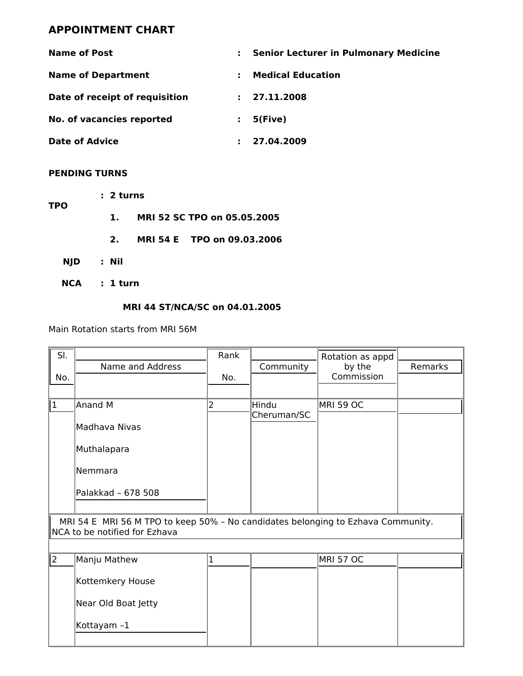# **APPOINTMENT CHART**

| <b>Name of Post</b>            | <b>Senior Lecturer in Pulmonary Medicine</b> |  |
|--------------------------------|----------------------------------------------|--|
| <b>Name of Department</b>      | <b>Medical Education</b>                     |  |
| Date of receipt of requisition | 27.11.2008                                   |  |
| No. of vacancies reported      | 5(Five)                                      |  |
| <b>Date of Advice</b>          | 27.04.2009                                   |  |

#### **PENDING TURNS**

| <b>TPO</b> | : 2 turns |          |  |  |                             |  |
|------------|-----------|----------|--|--|-----------------------------|--|
|            |           | 1.       |  |  | MRI 52 SC TPO on 05.05.2005 |  |
|            |           | 2.       |  |  | MRI 54 E TPO on 09.03.2006  |  |
| <b>NJD</b> |           | : Nil    |  |  |                             |  |
| <b>NCA</b> |           | : 1 turn |  |  |                             |  |

## **MRI 44 ST/NCA/SC on 04.01.2005**

Main Rotation starts from MRI 56M

| SI.                                                                                                               |                     | Rank         |             | Rotation as appd |         |  |
|-------------------------------------------------------------------------------------------------------------------|---------------------|--------------|-------------|------------------|---------|--|
|                                                                                                                   | Name and Address    |              | Community   | by the           | Remarks |  |
| No.                                                                                                               |                     | No.          |             | Commission       |         |  |
|                                                                                                                   |                     |              |             |                  |         |  |
| $\mathbf{1}$                                                                                                      | Anand M             | 2            | Hindu       | <b>MRI 59 OC</b> |         |  |
|                                                                                                                   | Madhava Nivas       |              | Cheruman/SC |                  |         |  |
|                                                                                                                   | Muthalapara         |              |             |                  |         |  |
|                                                                                                                   | Nemmara             |              |             |                  |         |  |
|                                                                                                                   | Palakkad - 678 508  |              |             |                  |         |  |
| MRI 54 E MRI 56 M TPO to keep 50% - No candidates belonging to Ezhava Community.<br>NCA to be notified for Ezhava |                     |              |             |                  |         |  |
|                                                                                                                   |                     |              |             |                  |         |  |
| $ 2\rangle$                                                                                                       | Manju Mathew        | $\mathbf{1}$ |             | <b>MRI 57 OC</b> |         |  |
|                                                                                                                   | Kottemkery House    |              |             |                  |         |  |
|                                                                                                                   | Near Old Boat Jetty |              |             |                  |         |  |
|                                                                                                                   | Kottayam-1          |              |             |                  |         |  |
|                                                                                                                   |                     |              |             |                  |         |  |